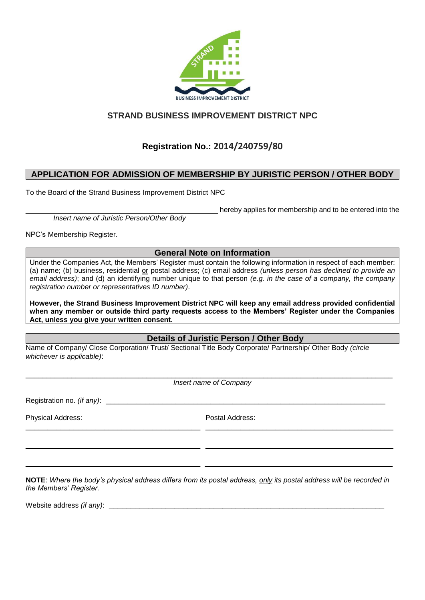

## **STRAND BUSINESS IMPROVEMENT DISTRICT NPC**

# **Registration No.: 2014/240759/80**

### **APPLICATION FOR ADMISSION OF MEMBERSHIP BY JURISTIC PERSON / OTHER BODY**

To the Board of the Strand Business Improvement District NPC

*Insert name of Juristic Person/Other Body*

hereby applies for membership and to be entered into the

NPC's Membership Register.

### **General Note on Information**

Under the Companies Act, the Members' Register must contain the following information in respect of each member: (a) name; (b) business, residential or postal address; (c) email address *(unless person has declined to provide an email address)*; and (d) an identifying number unique to that person *(e.g. in the case of a company, the company registration number or representatives ID number)*.

**However, the Strand Business Improvement District NPC will keep any email address provided confidential when any member or outside third party requests access to the Members' Register under the Companies Act, unless you give your written consent.**

**Details of Juristic Person / Other Body**

Name of Company/ Close Corporation/ Trust/ Sectional Title Body Corporate/ Partnership/ Other Body *(circle whichever is applicable)*:

\_\_\_\_\_\_\_\_\_\_\_\_\_\_\_\_\_\_\_\_\_\_\_\_\_\_\_\_\_\_\_\_\_\_\_\_\_\_\_\_\_\_\_\_\_\_\_\_\_\_\_\_\_\_\_\_\_\_\_\_\_\_\_\_\_\_\_\_\_\_\_\_\_\_\_\_\_\_\_\_\_\_\_\_\_\_\_\_ *Insert name of Company*

\_\_\_\_\_\_\_\_\_\_\_\_\_\_\_\_\_\_\_\_\_\_\_\_\_\_\_\_\_\_\_\_\_\_\_\_\_\_\_\_ \_\_\_\_\_\_\_\_\_\_\_\_\_\_\_\_\_\_\_\_\_\_\_\_\_\_\_\_\_\_\_\_\_\_\_\_\_\_\_\_\_\_\_

 $\_$  . The contribution of the contribution of the contribution of the contribution of  $\mathcal{L}_1$ 

\_\_\_\_\_\_\_\_\_\_\_\_\_\_\_\_\_\_\_\_\_\_\_\_\_\_\_\_\_\_\_\_\_\_\_\_\_\_\_\_ \_\_\_\_\_\_\_\_\_\_\_\_\_\_\_\_\_\_\_\_\_\_\_\_\_\_\_\_\_\_\_\_\_\_\_\_\_\_\_\_\_\_\_

Registration no. *(if any)*:

Physical Address: Postal Address:

**NOTE**: *Where the body's physical address differs from its postal address, only its postal address will be recorded in the Members' Register.*

Website address *(if any)*: